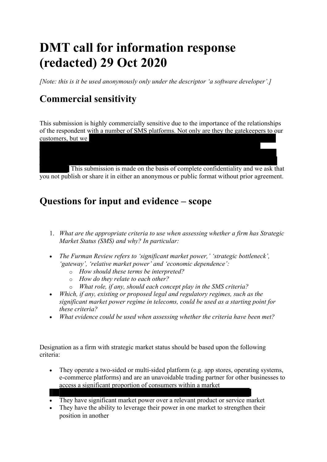# **DMT call for information response (redacted) 29 Oct 2020**

*[Note: this is it be used anonymously only under the descriptor 'a software developer'.]*

## **Commercial sensitivity**

This submission is highly commercially sensitive due to the importance of the relationships of the respondent with a number of SMS platforms. Not only are they the gatekeepers to our customers, but we

. This submission is made on the basis of complete confidentiality and we ask that you not publish or share it in either an anonymous or public format without prior agreement.

### **Questions for input and evidence – scope**

- 1. *What are the appropriate criteria to use when assessing whether a firm has Strategic Market Status (SMS) and why? In particular:*
- *The Furman Review refers to 'significant market power,' 'strategic bottleneck', 'gateway', 'relative market power' and 'economic dependence':* 
	- o *How should these terms be interpreted?*
	- o *How do they relate to each other?*
	- o *What role, if any, should each concept play in the SMS criteria?*
- *Which, if any, existing or proposed legal and regulatory regimes, such as the significant market power regime in telecoms, could be used as a starting point for these criteria?*
- *What evidence could be used when assessing whether the criteria have been met?*

Designation as a firm with strategic market status should be based upon the following criteria:

- They operate a two-sided or multi-sided platform (e.g. app stores, operating systems, e-commerce platforms) and are an unavoidable trading partner for other businesses to access a significant proportion of consumers within a market
- They have significant market power over a relevant product or service market
- They have the ability to leverage their power in one market to strengthen their position in another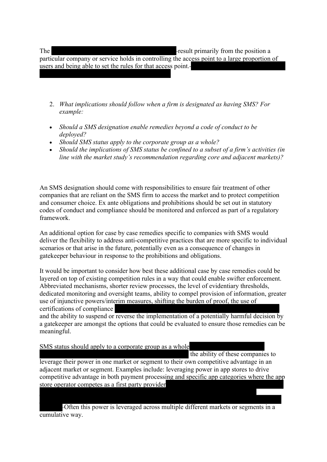The result primarily from the position a

particular company or service holds in controlling the access point to a large proportion of users and being able to set the rules for that access point.

- 2. *What implications should follow when a firm is designated as having SMS? For example:*
- *Should a SMS designation enable remedies beyond a code of conduct to be deployed?*
- *Should SMS status apply to the corporate group as a whole?*
- *Should the implications of SMS status be confined to a subset of a firm's activities (in line with the market study's recommendation regarding core and adjacent markets)?*

An SMS designation should come with responsibilities to ensure fair treatment of other companies that are reliant on the SMS firm to access the market and to protect competition and consumer choice. Ex ante obligations and prohibitions should be set out in statutory codes of conduct and compliance should be monitored and enforced as part of a regulatory framework.

An additional option for case by case remedies specific to companies with SMS would deliver the flexibility to address anti-competitive practices that are more specific to individual scenarios or that arise in the future, potentially even as a consequence of changes in gatekeeper behaviour in response to the prohibitions and obligations.

It would be important to consider how best these additional case by case remedies could be layered on top of existing competition rules in a way that could enable swifter enforcement. Abbreviated mechanisms, shorter review processes, the level of evidentiary thresholds, dedicated monitoring and oversight teams, ability to compel provision of information, greater use of injunctive powers/interim measures, shifting the burden of proof, the use of certifications of compliance

and the ability to suspend or reverse the implementation of a potentially harmful decision by a gatekeeper are amongst the options that could be evaluated to ensure those remedies can be meaningful.

SMS status should apply to a corporate group as a whole

 the ability of these companies to leverage their power in one market or segment to their own competitive advantage in an adjacent market or segment. Examples include: leveraging power in app stores to drive competitive advantage in both payment processing and specific app categories where the app store operator competes as a first party provider

 Often this power is leveraged across multiple different markets or segments in a cumulative way.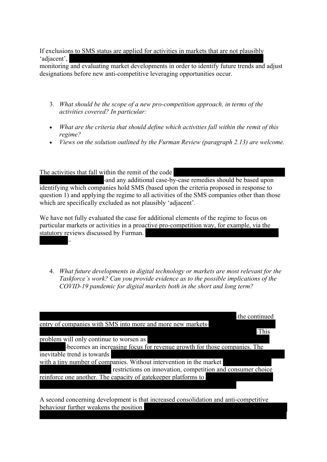If exclusions to SMS status are applied for activities in markets that are not plausibly 'adiacent'.

monitoring and evaluating market developments in order to identify future trends and adjust designations before new anti-competitive leveraging opportunities occur.

- 3. *What should be the scope of a new pro-competition approach, in terms of the activities covered? In particular:*
- *What are the criteria that should define which activities fall within the remit of this regime?*
- *Views on the solution outlined by the Furman Review (paragraph 2.13) are welcome.*

The activities that fall within the remit of the code

and any additional case-by-case remedies should be based upon identifying which companies hold SMS (based upon the criteria proposed in response to question 1) and applying the regime to all activities of the SMS companies other than those which are specifically excluded as not plausibly 'adjacent'.

We have not fully evaluated the case for additional elements of the regime to focus on particular markets or activities in a proactive pro-competition way, for example, via the statutory reviews discussed by Furman. ┡

4. *What future developments in digital technology or markets are most relevant for the Taskforce's work? Can you provide evidence as to the possible implications of the COVID-19 pandemic for digital markets both in the short and long term?*

| the continued                                                                                                                      |
|------------------------------------------------------------------------------------------------------------------------------------|
| entry of companies with SMS into more and more new markets-                                                                        |
| -This                                                                                                                              |
| problem will only continue to worsen as                                                                                            |
| becomes an increasing focus for revenue growth for those companies. The                                                            |
| inevitable trend is towards                                                                                                        |
| with a tiny number of companies. Without intervention in the market<br>restrictions on innovation, competition and consumer choice |
| reinforce one another. The capacity of gate keeper platforms to                                                                    |

A second concerning development is that increased consolidation and anti-competitive behaviour further weakens the position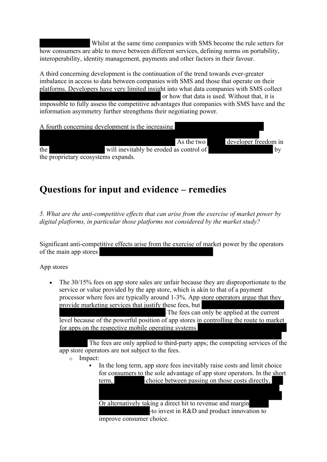Whilst at the same time companies with SMS become the rule setters for how consumers are able to move between different services, defining norms on portability, interoperability, identity management, payments and other factors in their favour.

A third concerning development is the continuation of the trend towards ever-greater imbalance in access to data between companies with SMS and those that operate on their platforms. Developers have very limited insight into what data companies with SMS collect or how that data is used. Without that, it is impossible to fully assess the competitive advantages that companies with SMS have and the information asymmetry further strengthens their negotiating power.



### **Questions for input and evidence – remedies**

*5. What are the anti-competitive effects that can arise from the exercise of market power by digital platforms, in particular those platforms not considered by the market study?* 

Significant anti-competitive effects arise from the exercise of market power by the operators of the main app stores

App stores

• The 30/15% fees on app store sales are unfair because they are disproportionate to the service or value provided by the app store, which is akin to that of a payment processor where fees are typically around 1-3%. App store operators argue that they provide marketing services that justify these fees, but

The fees can only be applied at the current level because of the powerful position of app stores in controlling the route to market for apps on the respective mobile operating systems

 The fees are only applied to third-party apps; the competing services of the app store operators are not subject to the fees.

- o Impact:
	- In the long term, app store fees inevitably raise costs and limit choice for consumers to the sole advantage of app store operators. In the short term, choice between passing on those costs directly,

Or alternatively taking a direct hit to revenue and margin to invest in R&D and product innovation to improve consumer choice.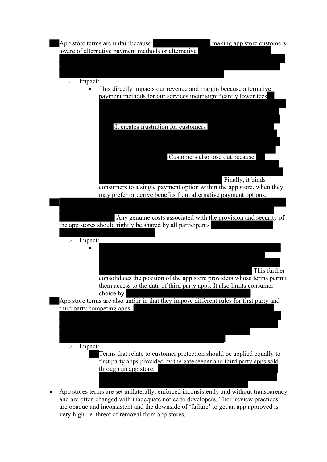

and are often changed with inadequate notice to developers. Their review practices are opaque and inconsistent and the downside of 'failure' to get an app approved is very high i.e. threat of removal from app stores.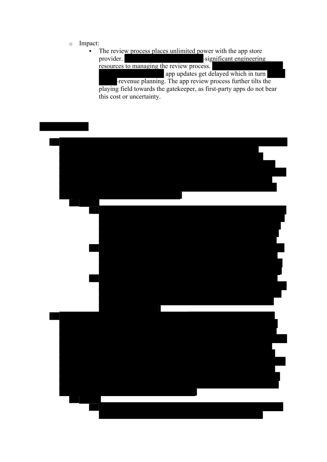#### o Impact:

• The review process places unlimited power with the app store provider. significant engineering resources to managing the review process. app updates get delayed which in turn revenue planning. The app review process further tilts the playing field towards the gatekeeper, as first-party apps do not bear

this cost or uncertainty.

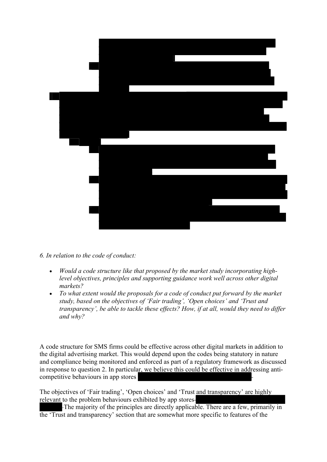

- *6. In relation to the code of conduct:*
	- *Would a code structure like that proposed by the market study incorporating highlevel objectives, principles and supporting guidance work well across other digital markets?*
	- *To what extent would the proposals for a code of conduct put forward by the market study, based on the objectives of 'Fair trading', 'Open choices' and 'Trust and transparency', be able to tackle these effects? How, if at all, would they need to differ and why?*

A code structure for SMS firms could be effective across other digital markets in addition to the digital advertising market. This would depend upon the codes being statutory in nature and compliance being monitored and enforced as part of a regulatory framework as discussed in response to question 2. In particular, we believe this could be effective in addressing anticompetitive behaviours in app stores

The objectives of 'Fair trading', 'Open choices' and 'Trust and transparency' are highly relevant to the problem behaviours exhibited by app stores

 The majority of the principles are directly applicable. There are a few, primarily in the 'Trust and transparency' section that are somewhat more specific to features of the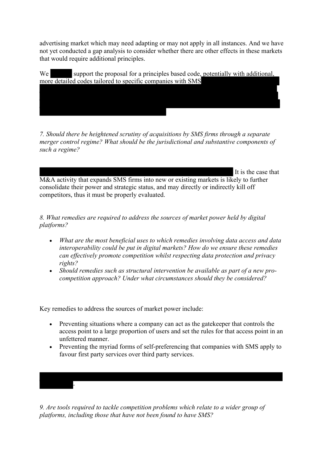advertising market which may need adapting or may not apply in all instances. And we have not yet conducted a gap analysis to consider whether there are other effects in these markets that would require additional principles.

We support the proposal for a principles based code, potentially with additional, more detailed codes tailored to specific companies with SMS

*7. Should there be heightened scrutiny of acquisitions by SMS firms through a separate merger control regime? What should be the jurisdictional and substantive components of such a regime?*

It is the case that

M&A activity that expands SMS firms into new or existing markets is likely to further consolidate their power and strategic status, and may directly or indirectly kill off competitors, thus it must be properly evaluated.

*8. What remedies are required to address the sources of market power held by digital platforms?* 

- *What are the most beneficial uses to which remedies involving data access and data interoperability could be put in digital markets? How do we ensure these remedies can effectively promote competition whilst respecting data protection and privacy rights?*
- *Should remedies such as structural intervention be available as part of a new procompetition approach? Under what circumstances should they be considered?*

Key remedies to address the sources of market power include:

┞

- Preventing situations where a company can act as the gatekeeper that controls the access point to a large proportion of users and set the rules for that access point in an unfettered manner.
- Preventing the myriad forms of self-preferencing that companies with SMS apply to favour first party services over third party services.

*9. Are tools required to tackle competition problems which relate to a wider group of platforms, including those that have not been found to have SMS?*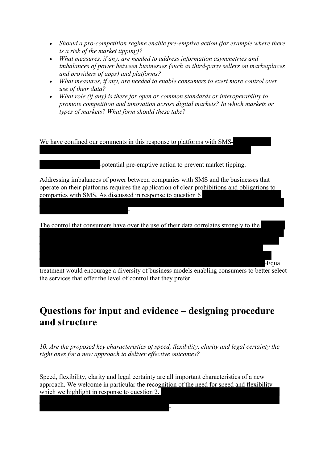- *Should a pro-competition regime enable pre-emptive action (for example where there is a risk of the market tipping)?*
- *What measures, if any, are needed to address information asymmetries and imbalances of power between businesses (such as third-party sellers on marketplaces and providers of apps) and platforms?*
- *What measures, if any, are needed to enable consumers to exert more control over use of their data?*
- *What role (if any) is there for open or common standards or interoperability to promote competition and innovation across digital markets? In which markets or types of markets? What form should these take?*



treatment would encourage a diversity of business models enabling consumers to better select the services that offer the level of control that they prefer.

### **Questions for input and evidence – designing procedure and structure**

*10. Are the proposed key characteristics of speed, flexibility, clarity and legal certainty the right ones for a new approach to deliver effective outcomes?* 

Speed, flexibility, clarity and legal certainty are all important characteristics of a new approach. We welcome in particular the recognition of the need for speed and flexibility which we highlight in response to question 2.

┞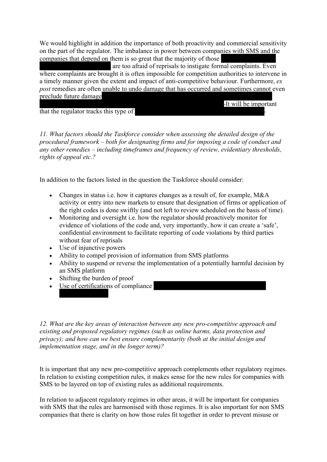We would highlight in addition the importance of both proactivity and commercial sensitivity on the part of the regulator. The imbalance in power between companies with SMS and the companies that depend on them is so great that the majority of those

 are too afraid of reprisals to instigate formal complaints. Even where complaints are brought it is often impossible for competition authorities to intervene in a timely manner given the extent and impact of anti-competitive behaviour. Furthermore, *ex post* remedies are often unable to undo damage that has occurred and sometimes cannot even en<br>preclude future damage

It will be important

that the regulator tracks this type of

*11. What factors should the Taskforce consider when assessing the detailed design of the procedural framework – both for designating firms and for imposing a code of conduct and any other remedies – including timeframes and frequency of review, evidentiary thresholds, rights of appeal etc.?* 

In addition to the factors listed in the question the Taskforce should consider:

- Changes in status i.e. how it captures changes as a result of, for example, M&A activity or entry into new markets to ensure that designation of firms or application of the right codes is done swiftly (and not left to review scheduled on the basis of time).
- Monitoring and oversight i.e. how the regulator should proactively monitor for evidence of violations of the code and, very importantly, how it can create a 'safe', confidential environment to facilitate reporting of code violations by third parties without fear of reprisals
- Use of injunctive powers
- Ability to compel provision of information from SMS platforms
- Ability to suspend or reverse the implementation of a potentially harmful decision by an SMS platform
- Shifting the burden of proof
- Use of certifications of compliance

*12. What are the key areas of interaction between any new pro-competitive approach and existing and proposed regulatory regimes (such as online harms, data protection and privacy); and how can we best ensure complementarity (both at the initial design and implementation stage, and in the longer term)?*

It is important that any new pro-competitive approach complements other regulatory regimes. In relation to existing competition rules, it makes sense for the new rules for companies with SMS to be layered on top of existing rules as additional requirements.

In relation to adjacent regulatory regimes in other areas, it will be important for companies with SMS that the rules are harmonised with those regimes. It is also important for non SMS companies that there is clarity on how those rules fit together in order to prevent misuse or